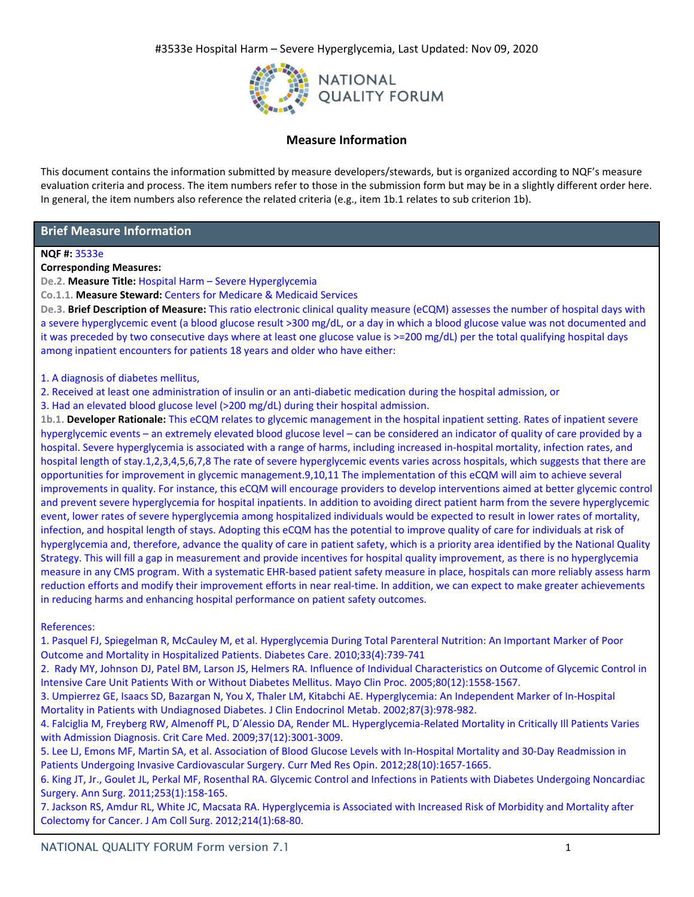

# **Measure Information**

This document contains the information submitted by measure developers/stewards, but is organized according to NQF's measure evaluation criteria and process. The item numbers refer to those in the submission form but may be in a slightly different order here. In general, the item numbers also reference the related criteria (e.g., item 1b.1 relates to sub criterion 1b).

# **Brief Measure Information**

## **NQF #:** 3533e

## **Corresponding Measures:**

**De.2. Measure Title:** Hospital Harm – Severe Hyperglycemia

**Co.1.1. Measure Steward:** Centers for Medicare & Medicaid Services

**De.3. Brief Description of Measure:** This ratio electronic clinical quality measure (eCQM) assesses the number of hospital days with a severe hyperglycemic event (a blood glucose result >300 mg/dL, or a day in which a blood glucose value was not documented and it was preceded by two consecutive days where at least one glucose value is >=200 mg/dL) per the total qualifying hospital days among inpatient encounters for patients 18 years and older who have either:

1. A diagnosis of diabetes mellitus,

2. Received at least one administration of insulin or an anti-diabetic medication during the hospital admission, or

3. Had an elevated blood glucose level (>200 mg/dL) during their hospital admission.

**1b.1. Developer Rationale:** This eCQM relates to glycemic management in the hospital inpatient setting. Rates of inpatient severe hyperglycemic events – an extremely elevated blood glucose level – can be considered an indicator of quality of care provided by a hospital. Severe hyperglycemia is associated with a range of harms, including increased in-hospital mortality, infection rates, and hospital length of stay.1,2,3,4,5,6,7,8 The rate of severe hyperglycemic events varies across hospitals, which suggests that there are opportunities for improvement in glycemic management.9,10,11 The implementation of this eCQM will aim to achieve several improvements in quality. For instance, this eCQM will encourage providers to develop interventions aimed at better glycemic control and prevent severe hyperglycemia for hospital inpatients. In addition to avoiding direct patient harm from the severe hyperglycemic event, lower rates of severe hyperglycemia among hospitalized individuals would be expected to result in lower rates of mortality, infection, and hospital length of stays. Adopting this eCQM has the potential to improve quality of care for individuals at risk of hyperglycemia and, therefore, advance the quality of care in patient safety, which is a priority area identified by the National Quality Strategy. This will fill a gap in measurement and provide incentives for hospital quality improvement, as there is no hyperglycemia measure in any CMS program. With a systematic EHR-based patient safety measure in place, hospitals can more reliably assess harm reduction efforts and modify their improvement efforts in near real-time. In addition, we can expect to make greater achievements in reducing harms and enhancing hospital performance on patient safety outcomes.

References:

1. Pasquel FJ, Spiegelman R, McCauley M, et al. Hyperglycemia During Total Parenteral Nutrition: An Important Marker of Poor Outcome and Mortality in Hospitalized Patients. Diabetes Care. 2010;33(4):739-741

2. Rady MY, Johnson DJ, Patel BM, Larson JS, Helmers RA. Influence of Individual Characteristics on Outcome of Glycemic Control in Intensive Care Unit Patients With or Without Diabetes Mellitus. Mayo Clin Proc. 2005;80(12):1558-1567.

3. Umpierrez GE, Isaacs SD, Bazargan N, You X, Thaler LM, Kitabchi AE. Hyperglycemia: An Independent Marker of In-Hospital Mortality in Patients with Undiagnosed Diabetes. J Clin Endocrinol Metab. 2002;87(3):978-982.

4. Falciglia M, Freyberg RW, Almenoff PL, D´Alessio DA, Render ML. Hyperglycemia-Related Mortality in Critically Ill Patients Varies with Admission Diagnosis. Crit Care Med. 2009;37(12):3001-3009.

5. Lee LJ, Emons MF, Martin SA, et al. Association of Blood Glucose Levels with In-Hospital Mortality and 30-Day Readmission in Patients Undergoing Invasive Cardiovascular Surgery. Curr Med Res Opin. 2012;28(10):1657-1665.

6. King JT, Jr., Goulet JL, Perkal MF, Rosenthal RA. Glycemic Control and Infections in Patients with Diabetes Undergoing Noncardiac Surgery. Ann Surg. 2011;253(1):158-165.

7. Jackson RS, Amdur RL, White JC, Macsata RA. Hyperglycemia is Associated with Increased Risk of Morbidity and Mortality after Colectomy for Cancer. J Am Coll Surg. 2012;214(1):68-80.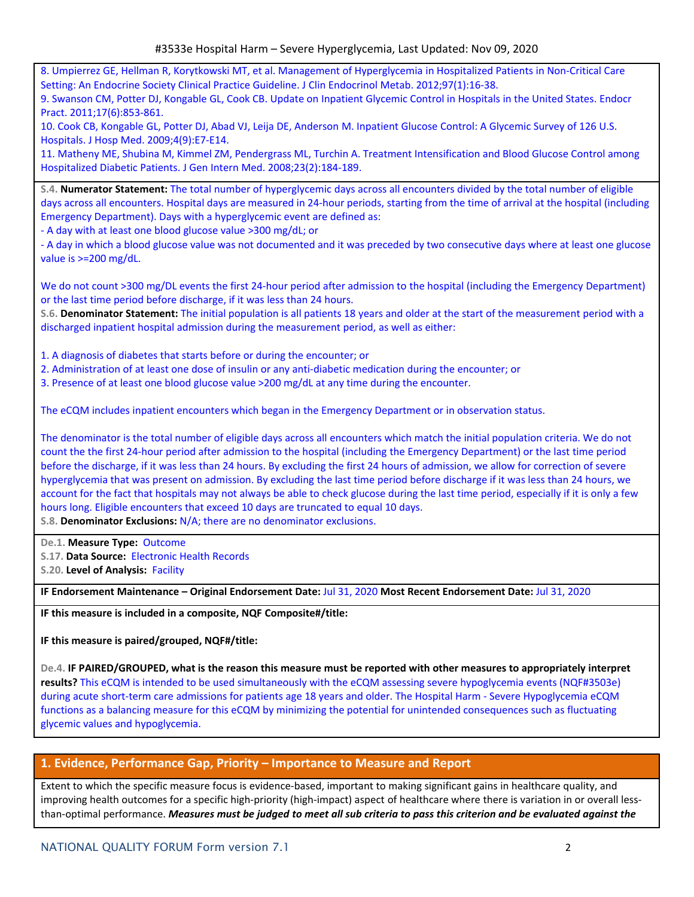8. Umpierrez GE, Hellman R, Korytkowski MT, et al. Management of Hyperglycemia in Hospitalized Patients in Non-Critical Care Setting: An Endocrine Society Clinical Practice Guideline. J Clin Endocrinol Metab. 2012;97(1):16-38. 9. Swanson CM, Potter DJ, Kongable GL, Cook CB. Update on Inpatient Glycemic Control in Hospitals in the United States. Endocr

Pract. 2011;17(6):853-861.

10. Cook CB, Kongable GL, Potter DJ, Abad VJ, Leija DE, Anderson M. Inpatient Glucose Control: A Glycemic Survey of 126 U.S. Hospitals. J Hosp Med. 2009;4(9):E7-E14.

11. Matheny ME, Shubina M, Kimmel ZM, Pendergrass ML, Turchin A. Treatment Intensification and Blood Glucose Control among Hospitalized Diabetic Patients. J Gen Intern Med. 2008;23(2):184-189.

**S.4. Numerator Statement:** The total number of hyperglycemic days across all encounters divided by the total number of eligible days across all encounters. Hospital days are measured in 24-hour periods, starting from the time of arrival at the hospital (including Emergency Department). Days with a hyperglycemic event are defined as:

- A day with at least one blood glucose value >300 mg/dL; or

- A day in which a blood glucose value was not documented and it was preceded by two consecutive days where at least one glucose value is >=200 mg/dL.

We do not count >300 mg/DL events the first 24-hour period after admission to the hospital (including the Emergency Department) or the last time period before discharge, if it was less than 24 hours.

**S.6. Denominator Statement:** The initial population is all patients 18 years and older at the start of the measurement period with a discharged inpatient hospital admission during the measurement period, as well as either:

1. A diagnosis of diabetes that starts before or during the encounter; or

- 2. Administration of at least one dose of insulin or any anti-diabetic medication during the encounter; or
- 3. Presence of at least one blood glucose value >200 mg/dL at any time during the encounter.

The eCQM includes inpatient encounters which began in the Emergency Department or in observation status.

The denominator is the total number of eligible days across all encounters which match the initial population criteria. We do not count the the first 24-hour period after admission to the hospital (including the Emergency Department) or the last time period before the discharge, if it was less than 24 hours. By excluding the first 24 hours of admission, we allow for correction of severe hyperglycemia that was present on admission. By excluding the last time period before discharge if it was less than 24 hours, we account for the fact that hospitals may not always be able to check glucose during the last time period, especially if it is only a few hours long. Eligible encounters that exceed 10 days are truncated to equal 10 days.

**S.8. Denominator Exclusions:** N/A; there are no denominator exclusions.

**De.1. Measure Type:** Outcome **S.17. Data Source:** Electronic Health Records

**S.20. Level of Analysis:** Facility

**IF Endorsement Maintenance – Original Endorsement Date:** Jul 31, 2020 **Most Recent Endorsement Date:** Jul 31, 2020

**IF this measure is included in a composite, NQF Composite#/title:**

**IF this measure is paired/grouped, NQF#/title:**

De.4. IF PAIRED/GROUPED, what is the reason this measure must be reported with other measures to appropriately interpret **results?** This eCQM is intended to be used simultaneously with the eCQM assessing severe hypoglycemia events (NQF#3503e) during acute short-term care admissions for patients age 18 years and older. The Hospital Harm - Severe Hypoglycemia eCQM functions as a balancing measure for this eCQM by minimizing the potential for unintended consequences such as fluctuating glycemic values and hypoglycemia.

# **1. Evidence, Performance Gap, Priority – Importance to Measure and Report**

Extent to which the specific measure focus is evidence-based, important to making significant gains in healthcare quality, and improving health outcomes for a specific high-priority (high-impact) aspect of healthcare where there is variation in or overall lessthan-optimal performance. Measures must be judged to meet all sub criteria to pass this criterion and be evaluated against the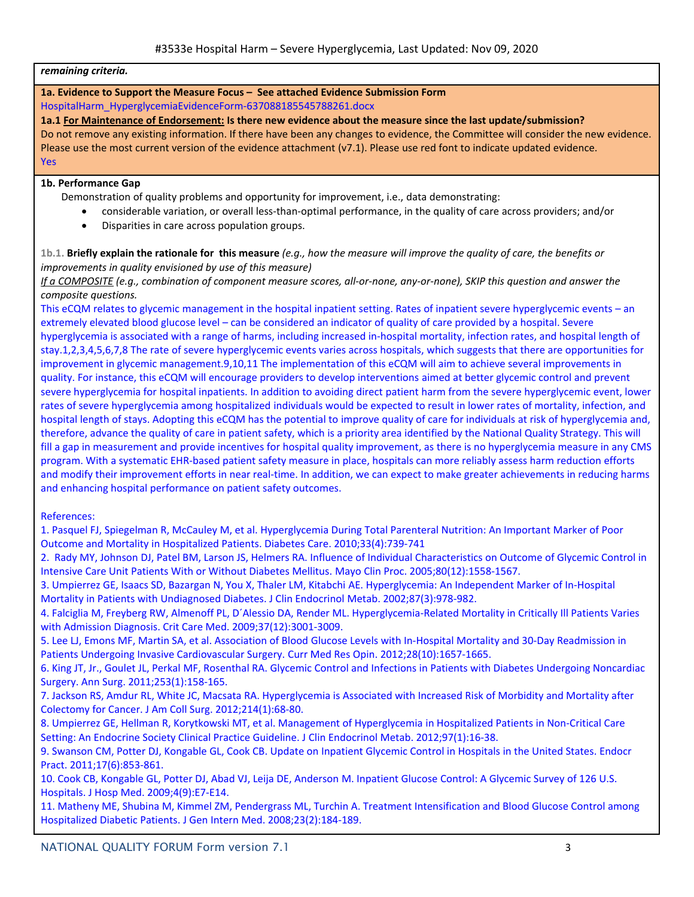### *remaining criteria.*

# **1a. Evidence to Support the Measure Focus – See attached Evidence Submission Form**

HospitalHarm\_HyperglycemiaEvidenceForm-637088185545788261.docx

**1a.1 For Maintenance of Endorsement: Is there new evidence about the measure since the last update/submission?**  Do not remove any existing information. If there have been any changes to evidence, the Committee will consider the new evidence. Please use the most current version of the evidence attachment (v7.1). Please use red font to indicate updated evidence.

Yes

## **1b. Performance Gap**

Demonstration of quality problems and opportunity for improvement, i.e., data demonstrating:

- considerable variation, or overall less-than-optimal performance, in the quality of care across providers; and/or
- Disparities in care across population groups.

1b.1. Briefly explain the rationale for this measure  $(e.g., how the measure will improve the quality of care, the benefits or$ *improvements in quality envisioned by use of this measure)*

If a COMPOSITE (e.g., combination of component measure scores, all-or-none, any-or-none), SKIP this question and answer the *composite questions.*

This eCQM relates to glycemic management in the hospital inpatient setting. Rates of inpatient severe hyperglycemic events – an extremely elevated blood glucose level – can be considered an indicator of quality of care provided by a hospital. Severe hyperglycemia is associated with a range of harms, including increased in-hospital mortality, infection rates, and hospital length of stay.1,2,3,4,5,6,7,8 The rate of severe hyperglycemic events varies across hospitals, which suggests that there are opportunities for improvement in glycemic management.9,10,11 The implementation of this eCQM will aim to achieve several improvements in quality. For instance, this eCQM will encourage providers to develop interventions aimed at better glycemic control and prevent severe hyperglycemia for hospital inpatients. In addition to avoiding direct patient harm from the severe hyperglycemic event, lower rates of severe hyperglycemia among hospitalized individuals would be expected to result in lower rates of mortality, infection, and hospital length of stays. Adopting this eCQM has the potential to improve quality of care for individuals at risk of hyperglycemia and, therefore, advance the quality of care in patient safety, which is a priority area identified by the National Quality Strategy. This will fill a gap in measurement and provide incentives for hospital quality improvement, as there is no hyperglycemia measure in any CMS program. With a systematic EHR-based patient safety measure in place, hospitals can more reliably assess harm reduction efforts and modify their improvement efforts in near real-time. In addition, we can expect to make greater achievements in reducing harms and enhancing hospital performance on patient safety outcomes.

References:

1. Pasquel FJ, Spiegelman R, McCauley M, et al. Hyperglycemia During Total Parenteral Nutrition: An Important Marker of Poor Outcome and Mortality in Hospitalized Patients. Diabetes Care. 2010;33(4):739-741

2. Rady MY, Johnson DJ, Patel BM, Larson JS, Helmers RA. Influence of Individual Characteristics on Outcome of Glycemic Control in Intensive Care Unit Patients With or Without Diabetes Mellitus. Mayo Clin Proc. 2005;80(12):1558-1567.

3. Umpierrez GE, Isaacs SD, Bazargan N, You X, Thaler LM, Kitabchi AE. Hyperglycemia: An Independent Marker of In-Hospital Mortality in Patients with Undiagnosed Diabetes. J Clin Endocrinol Metab. 2002;87(3):978-982.

4. Falciglia M, Freyberg RW, Almenoff PL, D´Alessio DA, Render ML. Hyperglycemia-Related Mortality in Critically Ill Patients Varies with Admission Diagnosis. Crit Care Med. 2009;37(12):3001-3009.

5. Lee LJ, Emons MF, Martin SA, et al. Association of Blood Glucose Levels with In-Hospital Mortality and 30-Day Readmission in Patients Undergoing Invasive Cardiovascular Surgery. Curr Med Res Opin. 2012;28(10):1657-1665.

6. King JT, Jr., Goulet JL, Perkal MF, Rosenthal RA. Glycemic Control and Infections in Patients with Diabetes Undergoing Noncardiac Surgery. Ann Surg. 2011;253(1):158-165.

7. Jackson RS, Amdur RL, White JC, Macsata RA. Hyperglycemia is Associated with Increased Risk of Morbidity and Mortality after Colectomy for Cancer. J Am Coll Surg. 2012;214(1):68-80.

8. Umpierrez GE, Hellman R, Korytkowski MT, et al. Management of Hyperglycemia in Hospitalized Patients in Non-Critical Care Setting: An Endocrine Society Clinical Practice Guideline. J Clin Endocrinol Metab. 2012;97(1):16-38.

9. Swanson CM, Potter DJ, Kongable GL, Cook CB. Update on Inpatient Glycemic Control in Hospitals in the United States. Endocr Pract. 2011;17(6):853-861.

10. Cook CB, Kongable GL, Potter DJ, Abad VJ, Leija DE, Anderson M. Inpatient Glucose Control: A Glycemic Survey of 126 U.S. Hospitals. J Hosp Med. 2009;4(9):E7-E14.

11. Matheny ME, Shubina M, Kimmel ZM, Pendergrass ML, Turchin A. Treatment Intensification and Blood Glucose Control among Hospitalized Diabetic Patients. J Gen Intern Med. 2008;23(2):184-189.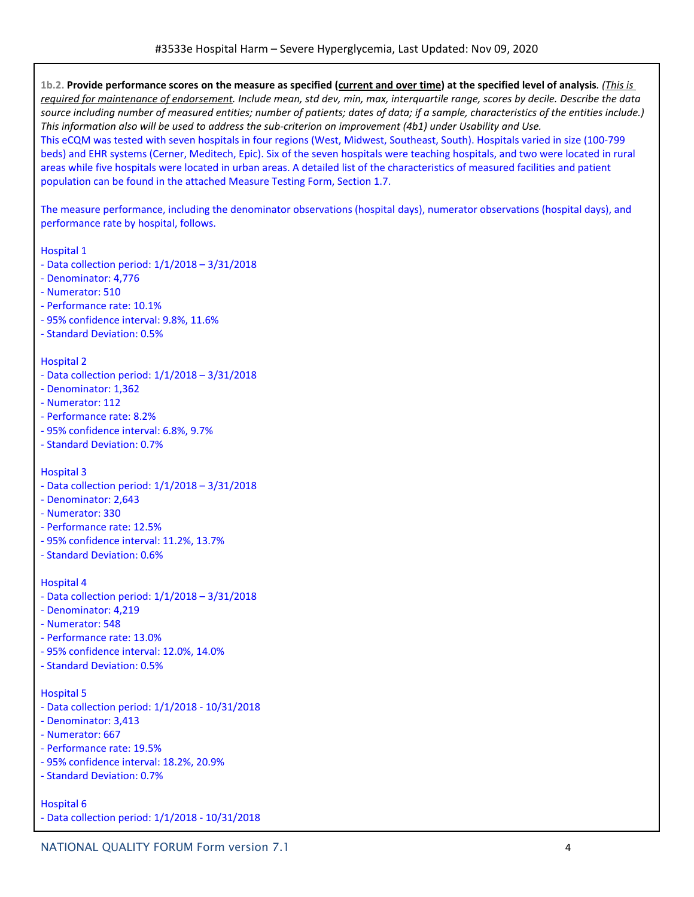1b.2. Provide performance scores on the measure as specified (current and over time) at the specified level of analysis. (This is required for maintenance of endorsement. Include mean, std dev, min, max, interquartile range, scores by decile. Describe the data source including number of measured entities; number of patients; dates of data; if a sample, characteristics of the entities include.) This information also will be used to address the sub-criterion on improvement (4b1) under Usability and Use.

This eCQM was tested with seven hospitals in four regions (West, Midwest, Southeast, South). Hospitals varied in size (100-799 beds) and EHR systems (Cerner, Meditech, Epic). Six of the seven hospitals were teaching hospitals, and two were located in rural areas while five hospitals were located in urban areas. A detailed list of the characteristics of measured facilities and patient population can be found in the attached Measure Testing Form, Section 1.7.

The measure performance, including the denominator observations (hospital days), numerator observations (hospital days), and performance rate by hospital, follows.

Hospital 1

- Data collection period: 1/1/2018 3/31/2018
- Denominator: 4,776
- Numerator: 510
- Performance rate: 10.1%
- 95% confidence interval: 9.8%, 11.6%
- Standard Deviation: 0.5%

### Hospital 2

- Data collection period: 1/1/2018 3/31/2018
- Denominator: 1,362
- Numerator: 112
- Performance rate: 8.2%
- 95% confidence interval: 6.8%, 9.7%
- Standard Deviation: 0.7%

Hospital 3

- Data collection period: 1/1/2018 3/31/2018
- Denominator: 2,643
- Numerator: 330
- Performance rate: 12.5%
- 95% confidence interval: 11.2%, 13.7%
- Standard Deviation: 0.6%

### Hospital 4

- Data collection period: 1/1/2018 3/31/2018
- Denominator: 4,219
- Numerator: 548
- Performance rate: 13.0%
- 95% confidence interval: 12.0%, 14.0%
- Standard Deviation: 0.5%

### Hospital 5

- Data collection period: 1/1/2018 10/31/2018
- Denominator: 3,413
- Numerator: 667
- Performance rate: 19.5%
- 95% confidence interval: 18.2%, 20.9%
- Standard Deviation: 0.7%

### Hospital 6

- Data collection period: 1/1/2018 - 10/31/2018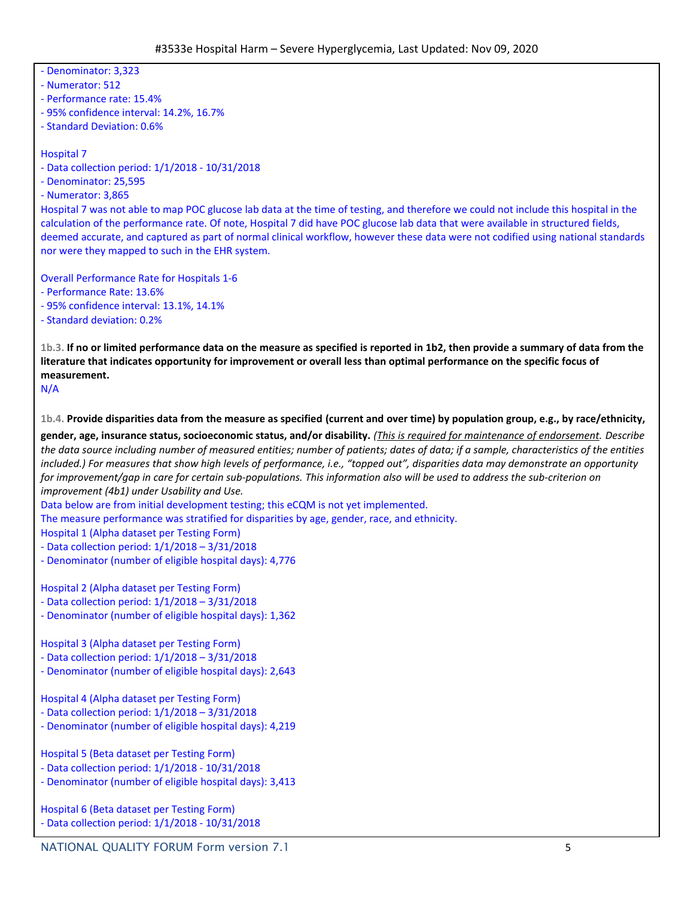#3533e Hospital Harm – Severe Hyperglycemia, Last Updated: Nov 09, 2020 - Denominator: 3,323 - Numerator: 512 - Performance rate: 15.4% - 95% confidence interval: 14.2%, 16.7% - Standard Deviation: 0.6% Hospital 7 - Data collection period: 1/1/2018 - 10/31/2018 - Denominator: 25,595 - Numerator: 3,865 Hospital 7 was not able to map POC glucose lab data at the time of testing, and therefore we could not include this hospital in the calculation of the performance rate. Of note, Hospital 7 did have POC glucose lab data that were available in structured fields, deemed accurate, and captured as part of normal clinical workflow, however these data were not codified using national standards nor were they mapped to such in the EHR system. Overall Performance Rate for Hospitals 1-6 - Performance Rate: 13.6% - 95% confidence interval: 13.1%, 14.1% - Standard deviation: 0.2% 1b.3. If no or limited performance data on the measure as specified is reported in 1b2, then provide a summary of data from the literature that indicates opportunity for improvement or overall less than optimal performance on the specific focus of **measurement.** N/A 1b.4. Provide disparities data from the measure as specified (current and over time) by population group, e.g., by race/ethnicity, gender, age, insurance status, socioeconomic status, and/or disability. (This is required for maintenance of endorsement. Describe the data source including number of measured entities; number of patients; dates of data; if a sample, characteristics of the entities included.) For measures that show high levels of performance, i.e., "topped out", disparities data may demonstrate an opportunity for improvement/gap in care for certain sub-populations. This information also will be used to address the sub-criterion on *improvement (4b1) under Usability and Use.* Data below are from initial development testing; this eCQM is not yet implemented. The measure performance was stratified for disparities by age, gender, race, and ethnicity. Hospital 1 (Alpha dataset per Testing Form) - Data collection period: 1/1/2018 – 3/31/2018 - Denominator (number of eligible hospital days): 4,776 Hospital 2 (Alpha dataset per Testing Form) - Data collection period: 1/1/2018 – 3/31/2018 - Denominator (number of eligible hospital days): 1,362 Hospital 3 (Alpha dataset per Testing Form) - Data collection period: 1/1/2018 – 3/31/2018 - Denominator (number of eligible hospital days): 2,643 Hospital 4 (Alpha dataset per Testing Form) - Data collection period: 1/1/2018 – 3/31/2018 - Denominator (number of eligible hospital days): 4,219 Hospital 5 (Beta dataset per Testing Form) - Data collection period: 1/1/2018 - 10/31/2018 - Denominator (number of eligible hospital days): 3,413 Hospital 6 (Beta dataset per Testing Form) - Data collection period: 1/1/2018 - 10/31/2018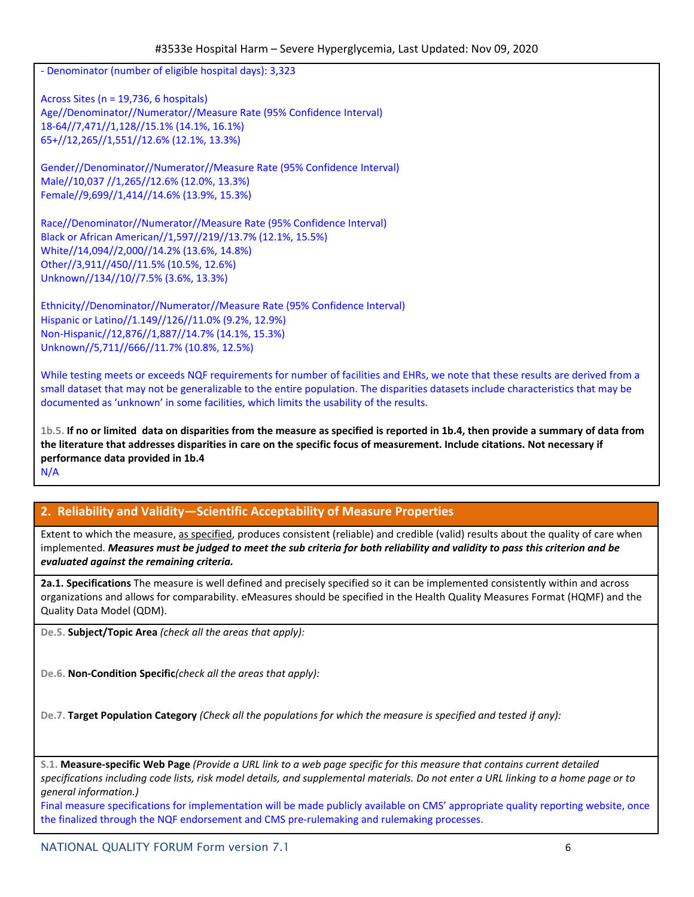- Denominator (number of eligible hospital days): 3,323

Across Sites (n = 19,736, 6 hospitals) Age//Denominator//Numerator//Measure Rate (95% Confidence Interval) 18-64//7,471//1,128//15.1% (14.1%, 16.1%) 65+//12,265//1,551//12.6% (12.1%, 13.3%)

Gender//Denominator//Numerator//Measure Rate (95% Confidence Interval) Male//10,037 //1,265//12.6% (12.0%, 13.3%) Female//9,699//1,414//14.6% (13.9%, 15.3%)

Race//Denominator//Numerator//Measure Rate (95% Confidence Interval) Black or African American//1,597//219//13.7% (12.1%, 15.5%) White//14,094//2,000//14.2% (13.6%, 14.8%) Other//3,911//450//11.5% (10.5%, 12.6%) Unknown//134//10//7.5% (3.6%, 13.3%)

Ethnicity//Denominator//Numerator//Measure Rate (95% Confidence Interval) Hispanic or Latino//1.149//126//11.0% (9.2%, 12.9%) Non-Hispanic//12,876//1,887//14.7% (14.1%, 15.3%) Unknown//5,711//666//11.7% (10.8%, 12.5%)

While testing meets or exceeds NQF requirements for number of facilities and EHRs, we note that these results are derived from a small dataset that may not be generalizable to the entire population. The disparities datasets include characteristics that may be documented as 'unknown' in some facilities, which limits the usability of the results.

1b.5. If no or limited data on disparities from the measure as specified is reported in 1b.4, then provide a summary of data from the literature that addresses disparities in care on the specific focus of measurement. Include citations. Not necessary if **performance data provided in 1b.4**

N/A

# **2. Reliability and Validity—Scientific Acceptability of Measure Properties**

Extent to which the measure, as specified, produces consistent (reliable) and credible (valid) results about the quality of care when implemented. Measures must be judged to meet the sub criteria for both reliability and validity to pass this criterion and be *evaluated against the remaining criteria.*

**2a.1. Specifications** The measure is well defined and precisely specified so it can be implemented consistently within and across organizations and allows for comparability. eMeasures should be specified in the Health Quality Measures Format (HQMF) and the Quality Data Model (QDM).

**De.5. Subject/Topic Area** *(check all the areas that apply):*

**De.6. Non-Condition Specific***(check all the areas that apply):*

De.7. Target Population Category (Check all the populations for which the measure is specified and tested if any):

S.1. Measure-specific Web Page (Provide a URL link to a web page specific for this measure that contains current detailed specifications including code lists, risk model details, and supplemental materials. Do not enter a URL linking to a home page or to *general information.)*

Final measure specifications for implementation will be made publicly available on CMS' appropriate quality reporting website, once the finalized through the NQF endorsement and CMS pre-rulemaking and rulemaking processes.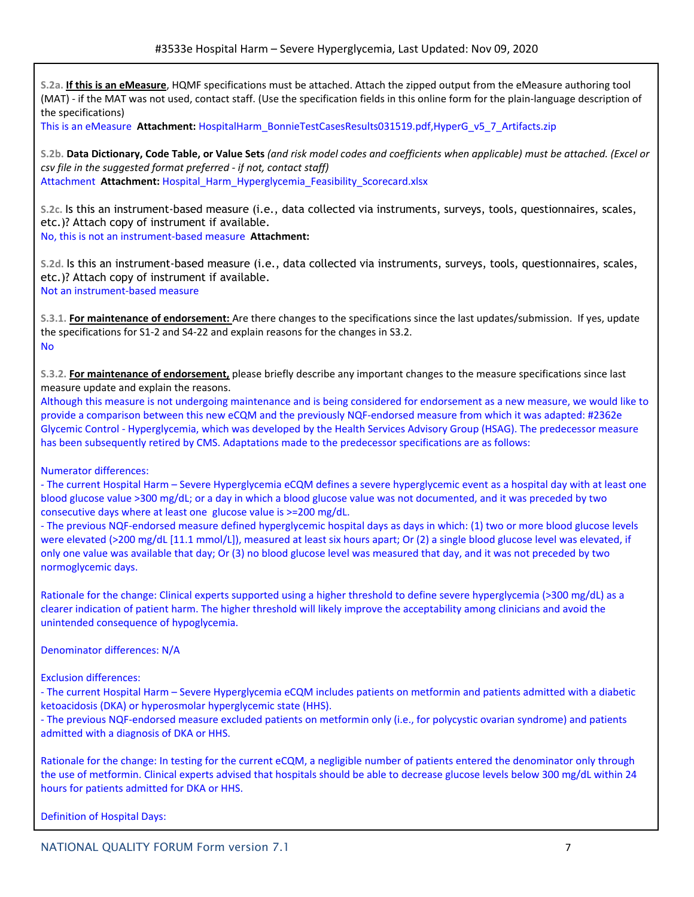**S.2a. If this is an eMeasure**, HQMF specifications must be attached. Attach the zipped output from the eMeasure authoring tool (MAT) - if the MAT was not used, contact staff. (Use the specification fields in this online form for the plain-language description of the specifications)

This is an eMeasure **Attachment:** HospitalHarm\_BonnieTestCasesResults031519.pdf,HyperG\_v5\_7\_Artifacts.zip

S.2b. Data Dictionary, Code Table, or Value Sets (and risk model codes and coefficients when applicable) must be attached. (Excel or *csv file in the suggested format preferred - if not, contact staff)* Attachment **Attachment:** Hospital\_Harm\_Hyperglycemia\_Feasibility\_Scorecard.xlsx

**S.2c.** Is this an instrument-based measure (i.e., data collected via instruments, surveys, tools, questionnaires, scales, etc.)? Attach copy of instrument if available.

No, this is not an instrument-based measure **Attachment:**

**S.2d.** Is this an instrument-based measure (i.e., data collected via instruments, surveys, tools, questionnaires, scales, etc.)? Attach copy of instrument if available. Not an instrument-based measure

**S.3.1. For maintenance of endorsement:** Are there changes to the specifications since the last updates/submission. If yes, update the specifications for S1-2 and S4-22 and explain reasons for the changes in S3.2. No

**S.3.2. For maintenance of endorsement,** please briefly describe any important changes to the measure specifications since last measure update and explain the reasons.

Although this measure is not undergoing maintenance and is being considered for endorsement as a new measure, we would like to provide a comparison between this new eCQM and the previously NQF-endorsed measure from which it was adapted: #2362e Glycemic Control - Hyperglycemia, which was developed by the Health Services Advisory Group (HSAG). The predecessor measure has been subsequently retired by CMS. Adaptations made to the predecessor specifications are as follows:

## Numerator differences:

- The current Hospital Harm – Severe Hyperglycemia eCQM defines a severe hyperglycemic event as a hospital day with at least one blood glucose value >300 mg/dL; or a day in which a blood glucose value was not documented, and it was preceded by two consecutive days where at least one glucose value is >=200 mg/dL.

- The previous NQF-endorsed measure defined hyperglycemic hospital days as days in which: (1) two or more blood glucose levels were elevated (>200 mg/dL [11.1 mmol/L]), measured at least six hours apart; Or (2) a single blood glucose level was elevated, if only one value was available that day; Or (3) no blood glucose level was measured that day, and it was not preceded by two normoglycemic days.

Rationale for the change: Clinical experts supported using a higher threshold to define severe hyperglycemia (>300 mg/dL) as a clearer indication of patient harm. The higher threshold will likely improve the acceptability among clinicians and avoid the unintended consequence of hypoglycemia.

Denominator differences: N/A

Exclusion differences:

- The current Hospital Harm – Severe Hyperglycemia eCQM includes patients on metformin and patients admitted with a diabetic ketoacidosis (DKA) or hyperosmolar hyperglycemic state (HHS).

- The previous NQF-endorsed measure excluded patients on metformin only (i.e., for polycystic ovarian syndrome) and patients admitted with a diagnosis of DKA or HHS.

Rationale for the change: In testing for the current eCQM, a negligible number of patients entered the denominator only through the use of metformin. Clinical experts advised that hospitals should be able to decrease glucose levels below 300 mg/dL within 24 hours for patients admitted for DKA or HHS.

Definition of Hospital Days: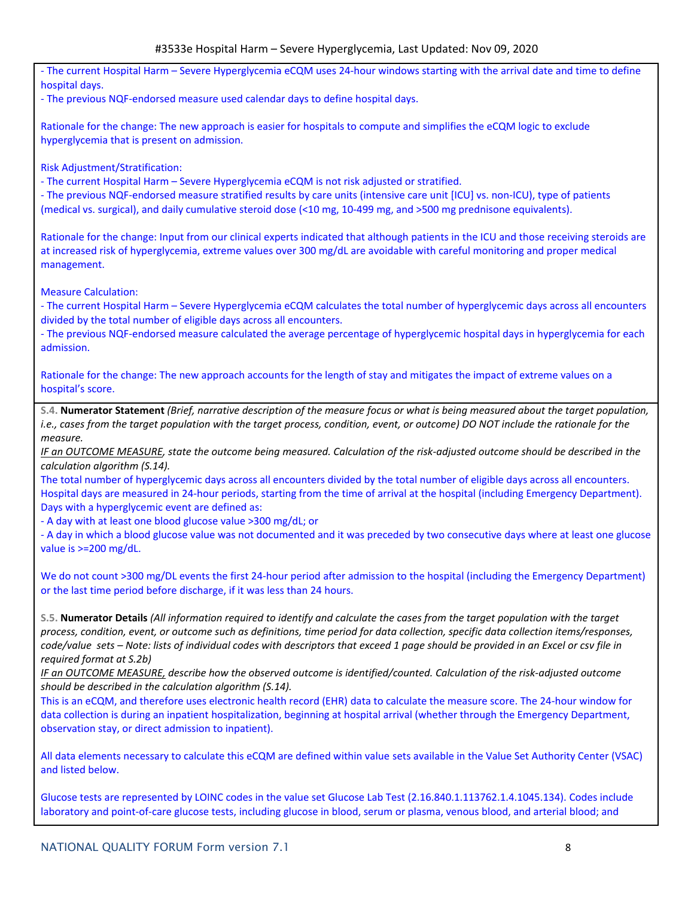- The current Hospital Harm – Severe Hyperglycemia eCQM uses 24-hour windows starting with the arrival date and time to define hospital days.

- The previous NQF-endorsed measure used calendar days to define hospital days.

Rationale for the change: The new approach is easier for hospitals to compute and simplifies the eCQM logic to exclude hyperglycemia that is present on admission.

Risk Adjustment/Stratification:

- The current Hospital Harm – Severe Hyperglycemia eCQM is not risk adjusted or stratified.

- The previous NQF-endorsed measure stratified results by care units (intensive care unit [ICU] vs. non-ICU), type of patients (medical vs. surgical), and daily cumulative steroid dose (<10 mg, 10-499 mg, and >500 mg prednisone equivalents).

Rationale for the change: Input from our clinical experts indicated that although patients in the ICU and those receiving steroids are at increased risk of hyperglycemia, extreme values over 300 mg/dL are avoidable with careful monitoring and proper medical management.

Measure Calculation:

- The current Hospital Harm – Severe Hyperglycemia eCQM calculates the total number of hyperglycemic days across all encounters divided by the total number of eligible days across all encounters.

- The previous NQF-endorsed measure calculated the average percentage of hyperglycemic hospital days in hyperglycemia for each admission.

Rationale for the change: The new approach accounts for the length of stay and mitigates the impact of extreme values on a hospital's score.

S.4. Numerator Statement (Brief, narrative description of the measure focus or what is being measured about the target population, i.e., cases from the target population with the target process, condition, event, or outcome) DO NOT include the rationale for the *measure.*

IF an OUTCOME MEASURE, state the outcome being measured. Calculation of the risk-adjusted outcome should be described in the *calculation algorithm (S.14).*

The total number of hyperglycemic days across all encounters divided by the total number of eligible days across all encounters. Hospital days are measured in 24-hour periods, starting from the time of arrival at the hospital (including Emergency Department). Days with a hyperglycemic event are defined as:

- A day with at least one blood glucose value >300 mg/dL; or

- A day in which a blood glucose value was not documented and it was preceded by two consecutive days where at least one glucose value is >=200 mg/dL.

We do not count >300 mg/DL events the first 24-hour period after admission to the hospital (including the Emergency Department) or the last time period before discharge, if it was less than 24 hours.

S.5. Numerator Details (All information required to identify and calculate the cases from the target population with the target process, condition, event, or outcome such as definitions, time period for data collection, specific data collection items/responses, code/value sets - Note: lists of individual codes with descriptors that exceed 1 page should be provided in an Excel or csv file in *required format at S.2b)*

IF an OUTCOME MEASURE, describe how the observed outcome is identified/counted. Calculation of the risk-adjusted outcome *should be described in the calculation algorithm (S.14).*

This is an eCQM, and therefore uses electronic health record (EHR) data to calculate the measure score. The 24-hour window for data collection is during an inpatient hospitalization, beginning at hospital arrival (whether through the Emergency Department, observation stay, or direct admission to inpatient).

All data elements necessary to calculate this eCQM are defined within value sets available in the Value Set Authority Center (VSAC) and listed below.

Glucose tests are represented by LOINC codes in the value set Glucose Lab Test (2.16.840.1.113762.1.4.1045.134). Codes include laboratory and point-of-care glucose tests, including glucose in blood, serum or plasma, venous blood, and arterial blood; and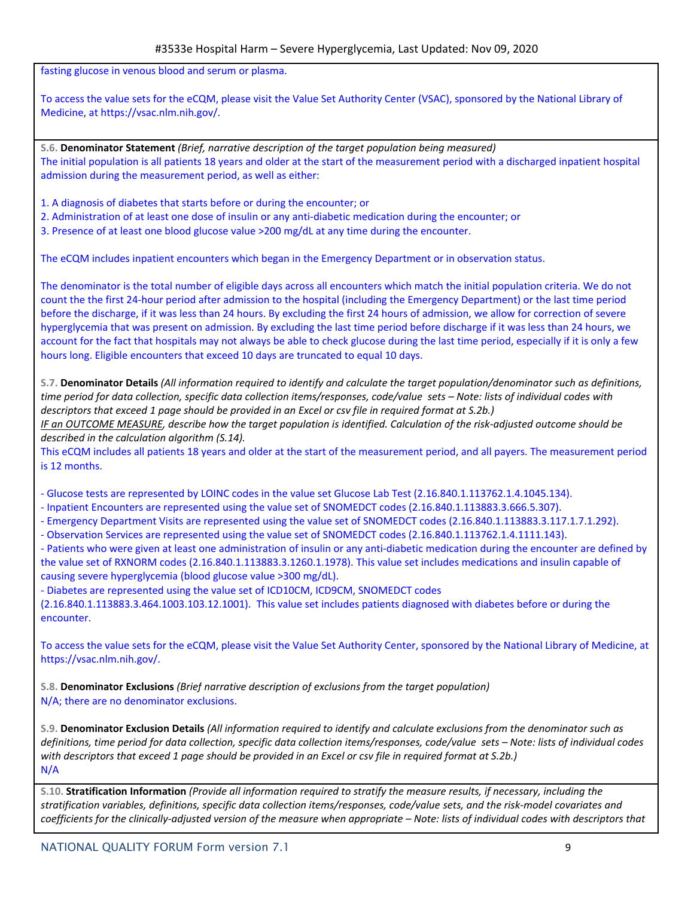fasting glucose in venous blood and serum or plasma.

To access the value sets for the eCQM, please visit the Value Set Authority Center (VSAC), sponsored by the National Library of Medicine, at https://vsac.nlm.nih.gov/.

**S.6. Denominator Statement** *(Brief, narrative description of the target population being measured)* The initial population is all patients 18 years and older at the start of the measurement period with a discharged inpatient hospital admission during the measurement period, as well as either:

1. A diagnosis of diabetes that starts before or during the encounter; or

2. Administration of at least one dose of insulin or any anti-diabetic medication during the encounter; or

3. Presence of at least one blood glucose value >200 mg/dL at any time during the encounter.

The eCQM includes inpatient encounters which began in the Emergency Department or in observation status.

The denominator is the total number of eligible days across all encounters which match the initial population criteria. We do not count the the first 24-hour period after admission to the hospital (including the Emergency Department) or the last time period before the discharge, if it was less than 24 hours. By excluding the first 24 hours of admission, we allow for correction of severe hyperglycemia that was present on admission. By excluding the last time period before discharge if it was less than 24 hours, we account for the fact that hospitals may not always be able to check glucose during the last time period, especially if it is only a few hours long. Eligible encounters that exceed 10 days are truncated to equal 10 days.

S.7. Denominator Details (All information required to identify and calculate the target population/denominator such as definitions. time period for data collection, specific data collection items/responses, code/value sets - Note: lists of individual codes with descriptors that exceed 1 page should be provided in an Excel or csv file in required format at S.2b.)

IF an OUTCOME MEASURE, describe how the target population is identified. Calculation of the risk-adjusted outcome should be *described in the calculation algorithm (S.14).*

This eCQM includes all patients 18 years and older at the start of the measurement period, and all payers. The measurement period is 12 months.

- Glucose tests are represented by LOINC codes in the value set Glucose Lab Test (2.16.840.1.113762.1.4.1045.134).

- Inpatient Encounters are represented using the value set of SNOMEDCT codes (2.16.840.1.113883.3.666.5.307).
- Emergency Department Visits are represented using the value set of SNOMEDCT codes (2.16.840.1.113883.3.117.1.7.1.292).
- Observation Services are represented using the value set of SNOMEDCT codes (2.16.840.1.113762.1.4.1111.143).

- Patients who were given at least one administration of insulin or any anti-diabetic medication during the encounter are defined by the value set of RXNORM codes (2.16.840.1.113883.3.1260.1.1978). This value set includes medications and insulin capable of causing severe hyperglycemia (blood glucose value >300 mg/dL).

- Diabetes are represented using the value set of ICD10CM, ICD9CM, SNOMEDCT codes

(2.16.840.1.113883.3.464.1003.103.12.1001). This value set includes patients diagnosed with diabetes before or during the encounter.

To access the value sets for the eCQM, please visit the Value Set Authority Center, sponsored by the National Library of Medicine, at https://vsac.nlm.nih.gov/.

**S.8. Denominator Exclusions** *(Brief narrative description of exclusions from the target population)* N/A; there are no denominator exclusions.

S.9. Denominator Exclusion Details (All information required to identify and calculate exclusions from the denominator such as definitions, time period for data collection, specific data collection items/responses, code/value sets - Note: lists of individual codes with descriptors that exceed 1 page should be provided in an Excel or csy file in required format at S.2b.) N/A

S.10. Stratification Information (Provide all information required to stratify the measure results, if necessary, including the stratification variables, definitions, specific data collection items/responses, code/value sets, and the risk-model covariates and coefficients for the clinically-adjusted version of the measure when appropriate – Note: lists of individual codes with descriptors that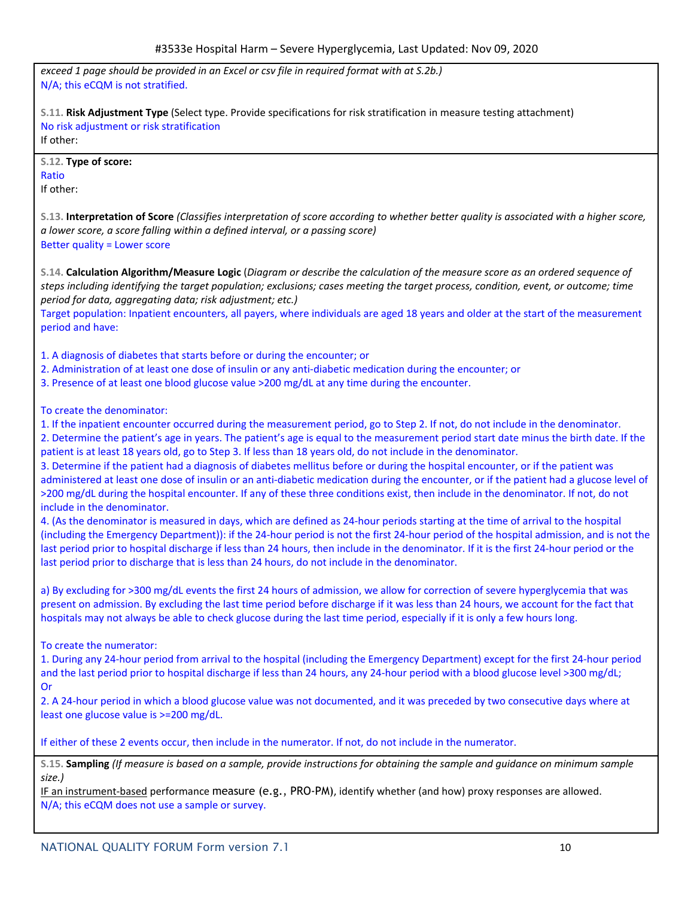*exceed 1 page should be provided in an Excel or csv file in required format with at S.2b.)* N/A; this eCQM is not stratified. **S.11. Risk Adjustment Type** (Select type. Provide specifications for risk stratification in measure testing attachment) No risk adjustment or risk stratification If other: **S.12. Type of score:** Ratio If other: S.13. Interpretation of Score (Classifies interpretation of score according to whether better quality is associated with a higher score, *a lower score, a score falling within a defined interval, or a passing score)* Better quality = Lower score S.14. Calculation Algorithm/Measure Logic (Diagram or describe the calculation of the measure score as an ordered sequence of steps including identifying the target population; exclusions; cases meeting the target process, condition, event, or outcome; time *period for data, aggregating data; risk adjustment; etc.)*

Target population: Inpatient encounters, all payers, where individuals are aged 18 years and older at the start of the measurement period and have:

1. A diagnosis of diabetes that starts before or during the encounter; or

- 2. Administration of at least one dose of insulin or any anti-diabetic medication during the encounter; or
- 3. Presence of at least one blood glucose value >200 mg/dL at any time during the encounter.

To create the denominator:

1. If the inpatient encounter occurred during the measurement period, go to Step 2. If not, do not include in the denominator.

2. Determine the patient's age in years. The patient's age is equal to the measurement period start date minus the birth date. If the patient is at least 18 years old, go to Step 3. If less than 18 years old, do not include in the denominator.

3. Determine if the patient had a diagnosis of diabetes mellitus before or during the hospital encounter, or if the patient was administered at least one dose of insulin or an anti-diabetic medication during the encounter, or if the patient had a glucose level of >200 mg/dL during the hospital encounter. If any of these three conditions exist, then include in the denominator. If not, do not include in the denominator.

4. (As the denominator is measured in days, which are defined as 24-hour periods starting at the time of arrival to the hospital (including the Emergency Department)): if the 24-hour period is not the first 24-hour period of the hospital admission, and is not the last period prior to hospital discharge if less than 24 hours, then include in the denominator. If it is the first 24-hour period or the last period prior to discharge that is less than 24 hours, do not include in the denominator.

a) By excluding for >300 mg/dL events the first 24 hours of admission, we allow for correction of severe hyperglycemia that was present on admission. By excluding the last time period before discharge if it was less than 24 hours, we account for the fact that hospitals may not always be able to check glucose during the last time period, especially if it is only a few hours long.

To create the numerator:

1. During any 24-hour period from arrival to the hospital (including the Emergency Department) except for the first 24-hour period and the last period prior to hospital discharge if less than 24 hours, any 24-hour period with a blood glucose level >300 mg/dL; Or

2. A 24-hour period in which a blood glucose value was not documented, and it was preceded by two consecutive days where at least one glucose value is >=200 mg/dL.

If either of these 2 events occur, then include in the numerator. If not, do not include in the numerator.

S.15. Sampling (If measure is based on a sample, provide instructions for obtaining the sample and quidance on minimum sample *size.)*

IF an instrument-based performance measure (e.g., PRO-PM), identify whether (and how) proxy responses are allowed. N/A; this eCQM does not use a sample or survey.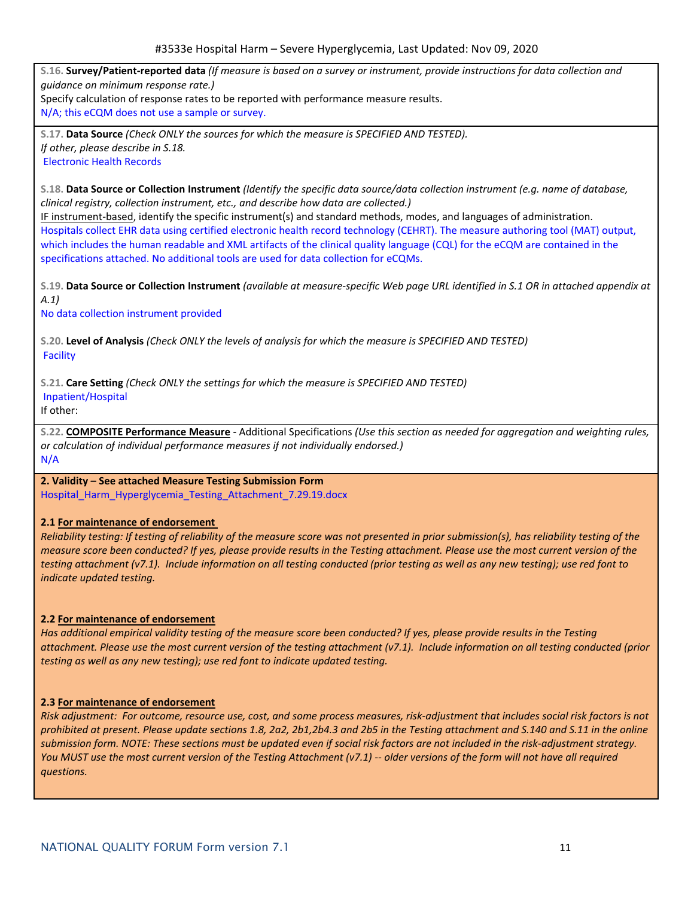S.16. Survey/Patient-reported data (If measure is based on a survey or instrument, provide instructions for data collection and *guidance on minimum response rate.)*

Specify calculation of response rates to be reported with performance measure results.

N/A; this eCQM does not use a sample or survey.

**S.17. Data Source** *(Check ONLY the sources for which the measure is SPECIFIED AND TESTED). If other, please describe in S.18.* Electronic Health Records

S.18. Data Source or Collection Instrument (Identify the specific data source/data collection instrument (e.g. name of database, *clinical registry, collection instrument, etc., and describe how data are collected.)*

IF instrument-based, identify the specific instrument(s) and standard methods, modes, and languages of administration. Hospitals collect EHR data using certified electronic health record technology (CEHRT). The measure authoring tool (MAT) output, which includes the human readable and XML artifacts of the clinical quality language (CQL) for the eCQM are contained in the specifications attached. No additional tools are used for data collection for eCQMs.

S.19. Data Source or Collection Instrument (available at measure-specific Web page URL identified in S.1 OR in attached appendix at *A.1)*

No data collection instrument provided

S.20. Level of Analysis (Check ONLY the levels of analysis for which the measure is SPECIFIED AND TESTED) Facility

**S.21. Care Setting** *(Check ONLY the settings for which the measure is SPECIFIED AND TESTED)* Inpatient/Hospital

If other:

S.22. COMPOSITE Performance Measure - Additional Specifications (Use this section as needed for aggregation and weighting rules, *or calculation of individual performance measures if not individually endorsed.)* N/A

## **2. Validity – See attached Measure Testing Submission Form**

Hospital\_Harm\_Hyperglycemia\_Testing\_Attachment\_7.29.19.docx

## **2.1 For maintenance of endorsement**

Reliability testing: If testing of reliability of the measure score was not presented in prior submission(s), has reliability testing of the measure score been conducted? If yes, please provide results in the Testing attachment. Please use the most current version of the testing attachment (v7.1). Include information on all testing conducted (prior testing as well as any new testing); use red font to *indicate updated testing.*

## **2.2 For maintenance of endorsement**

Has additional empirical validity testing of the measure score been conducted? If yes, please provide results in the Testing attachment. Please use the most current version of the testing attachment (v7.1). Include information on all testing conducted (prior *testing as well as any new testing); use red font to indicate updated testing.*

### **2.3 For maintenance of endorsement**

Risk adjustment: For outcome, resource use, cost, and some process measures, risk-adjustment that includes social risk factors is not prohibited at present. Please update sections 1.8, 2a2, 2b1,2b4.3 and 2b5 in the Testing attachment and S.140 and S.11 in the online submission form. NOTE: These sections must be updated even if social risk factors are not included in the risk-adjustment strategy. You MUST use the most current version of the Testing Attachment (v7.1) -- older versions of the form will not have all required *questions.*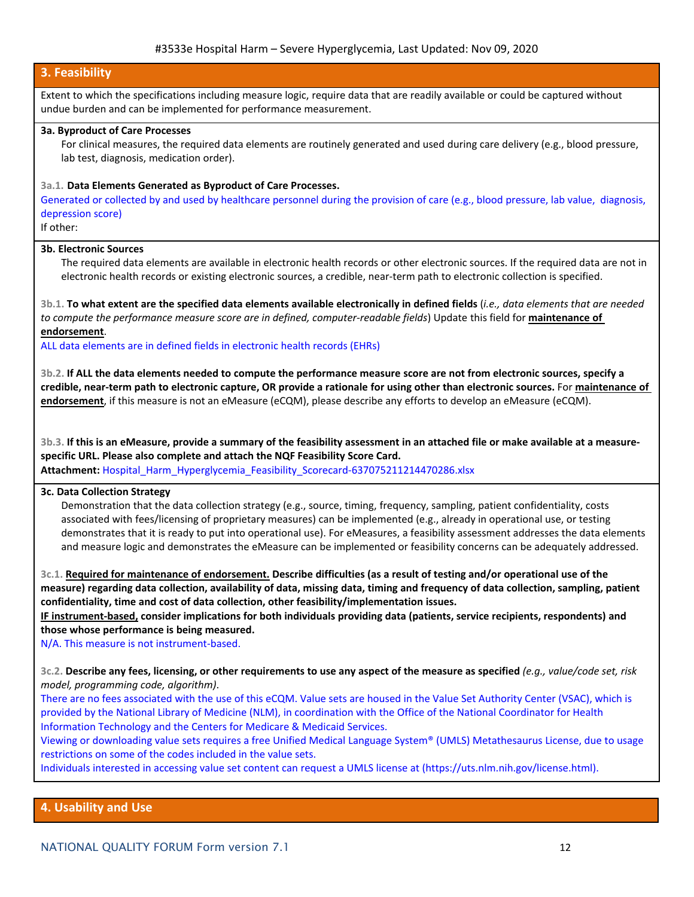## **3. Feasibility**

Extent to which the specifications including measure logic, require data that are readily available or could be captured without undue burden and can be implemented for performance measurement.

## **3a. Byproduct of Care Processes**

For clinical measures, the required data elements are routinely generated and used during care delivery (e.g., blood pressure, lab test, diagnosis, medication order).

## **3a.1. Data Elements Generated as Byproduct of Care Processes.**

Generated or collected by and used by healthcare personnel during the provision of care (e.g., blood pressure, lab value, diagnosis, depression score)

If other:

## **3b. Electronic Sources**

The required data elements are available in electronic health records or other electronic sources. If the required data are not in electronic health records or existing electronic sources, a credible, near-term path to electronic collection is specified.

3b.1. To what extent are the specified data elements available electronically in defined fields (i.e., data elements that are needed *to compute the performance measure score are in defined, computer-readable fields*) Update this field for **maintenance of endorsement**.

ALL data elements are in defined fields in electronic health records (EHRs)

3b.2. If ALL the data elements needed to compute the performance measure score are not from electronic sources, specify a credible, near-term path to electronic capture, OR provide a rationale for using other than electronic sources. For maintenance of **endorsement**, if this measure is not an eMeasure (eCQM), please describe any efforts to develop an eMeasure (eCQM).

3b.3. If this is an eMeasure, provide a summary of the feasibility assessment in an attached file or make available at a measure**specific URL. Please also complete and attach the NQF Feasibility Score Card. Attachment:** Hospital\_Harm\_Hyperglycemia\_Feasibility\_Scorecard-637075211214470286.xlsx

# **3c. Data Collection Strategy**

Demonstration that the data collection strategy (e.g., source, timing, frequency, sampling, patient confidentiality, costs associated with fees/licensing of proprietary measures) can be implemented (e.g., already in operational use, or testing demonstrates that it is ready to put into operational use). For eMeasures, a feasibility assessment addresses the data elements and measure logic and demonstrates the eMeasure can be implemented or feasibility concerns can be adequately addressed.

3c.1. Required for maintenance of endorsement. Describe difficulties (as a result of testing and/or operational use of the measure) regarding data collection, availability of data, missing data, timing and frequency of data collection, sampling, patient **confidentiality, time and cost of data collection, other feasibility/implementation issues.**

**IF instrument-based, consider implications for both individuals providing data (patients, service recipients, respondents) and those whose performance is being measured.**

N/A. This measure is not instrument-based.

3c.2. Describe any fees, licensing, or other requirements to use any aspect of the measure as specified (e.g., value/code set, risk *model, programming code, algorithm)*.

There are no fees associated with the use of this eCQM. Value sets are housed in the Value Set Authority Center (VSAC), which is provided by the National Library of Medicine (NLM), in coordination with the Office of the National Coordinator for Health Information Technology and the Centers for Medicare & Medicaid Services.

Viewing or downloading value sets requires a free Unified Medical Language System® (UMLS) Metathesaurus License, due to usage restrictions on some of the codes included in the value sets.

Individuals interested in accessing value set content can request a UMLS license at (https://uts.nlm.nih.gov/license.html).

## **4. Usability and Use**

NATIONAL QUALITY FORUM Form version 7.1 12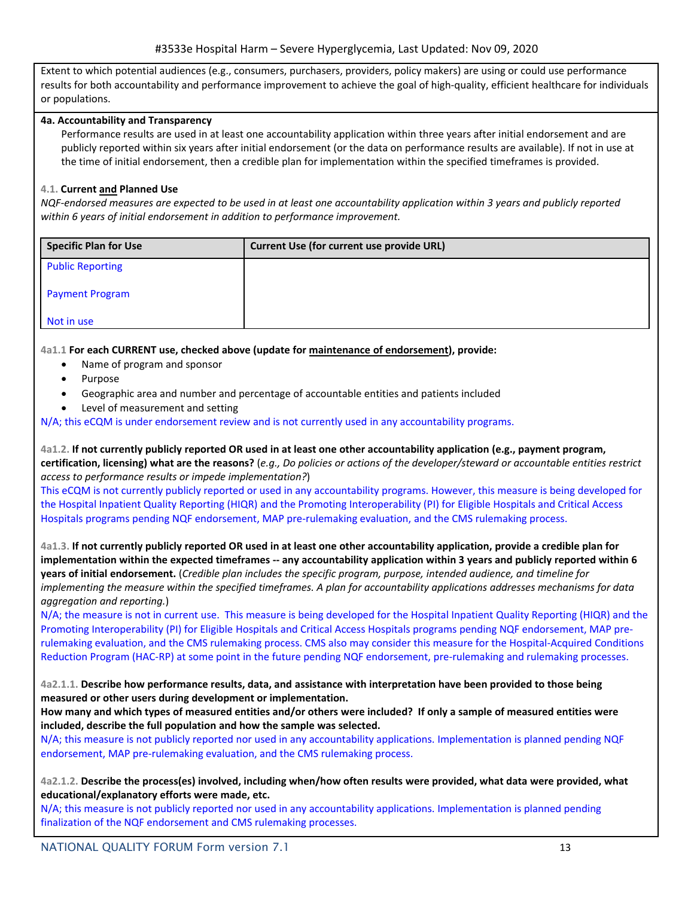Extent to which potential audiences (e.g., consumers, purchasers, providers, policy makers) are using or could use performance results for both accountability and performance improvement to achieve the goal of high-quality, efficient healthcare for individuals or populations.

## **4a. Accountability and Transparency**

Performance results are used in at least one accountability application within three years after initial endorsement and are publicly reported within six years after initial endorsement (or the data on performance results are available). If not in use at the time of initial endorsement, then a credible plan for implementation within the specified timeframes is provided.

## **4.1. Current and Planned Use**

NQF-endorsed measures are expected to be used in at least one accountability application within 3 years and publicly reported *within 6 years of initial endorsement in addition to performance improvement.*

| Specific Plan for Use   | Current Use (for current use provide URL) |
|-------------------------|-------------------------------------------|
| <b>Public Reporting</b> |                                           |
| <b>Payment Program</b>  |                                           |
| Not in use              |                                           |

### **4a1.1 For each CURRENT use, checked above (update for maintenance of endorsement), provide:**

- Name of program and sponsor
- Purpose
- Geographic area and number and percentage of accountable entities and patients included
- Level of measurement and setting

N/A; this eCQM is under endorsement review and is not currently used in any accountability programs.

4a1.2. If not currently publicly reported OR used in at least one other accountability application (e.g., payment program, certification, licensing) what are the reasons? (e.g., Do policies or actions of the developer/steward or accountable entities restrict *access to performance results or impede implementation?*)

This eCQM is not currently publicly reported or used in any accountability programs. However, this measure is being developed for the Hospital Inpatient Quality Reporting (HIQR) and the Promoting Interoperability (PI) for Eligible Hospitals and Critical Access Hospitals programs pending NQF endorsement, MAP pre-rulemaking evaluation, and the CMS rulemaking process.

4a1.3. If not currently publicly reported OR used in at least one other accountability application, provide a credible plan for implementation within the expected timeframes -- any accountability application within 3 years and publicly reported within 6 years of initial endorsement. (Credible plan includes the specific program, purpose, intended audience, and timeline for implementing the measure within the specified timeframes. A plan for accountability applications addresses mechanisms for data *aggregation and reporting.*)

N/A; the measure is not in current use. This measure is being developed for the Hospital Inpatient Quality Reporting (HIQR) and the Promoting Interoperability (PI) for Eligible Hospitals and Critical Access Hospitals programs pending NQF endorsement, MAP prerulemaking evaluation, and the CMS rulemaking process. CMS also may consider this measure for the Hospital-Acquired Conditions Reduction Program (HAC-RP) at some point in the future pending NQF endorsement, pre-rulemaking and rulemaking processes.

4a2.1.1. Describe how performance results, data, and assistance with interpretation have been provided to those being **measured or other users during development or implementation.**

How many and which types of measured entities and/or others were included? If only a sample of measured entities were **included, describe the full population and how the sample was selected.**

N/A; this measure is not publicly reported nor used in any accountability applications. Implementation is planned pending NQF endorsement, MAP pre-rulemaking evaluation, and the CMS rulemaking process.

4a2.1.2. Describe the process(es) involved, including when/how often results were provided, what data were provided, what **educational/explanatory efforts were made, etc.**

N/A; this measure is not publicly reported nor used in any accountability applications. Implementation is planned pending finalization of the NQF endorsement and CMS rulemaking processes.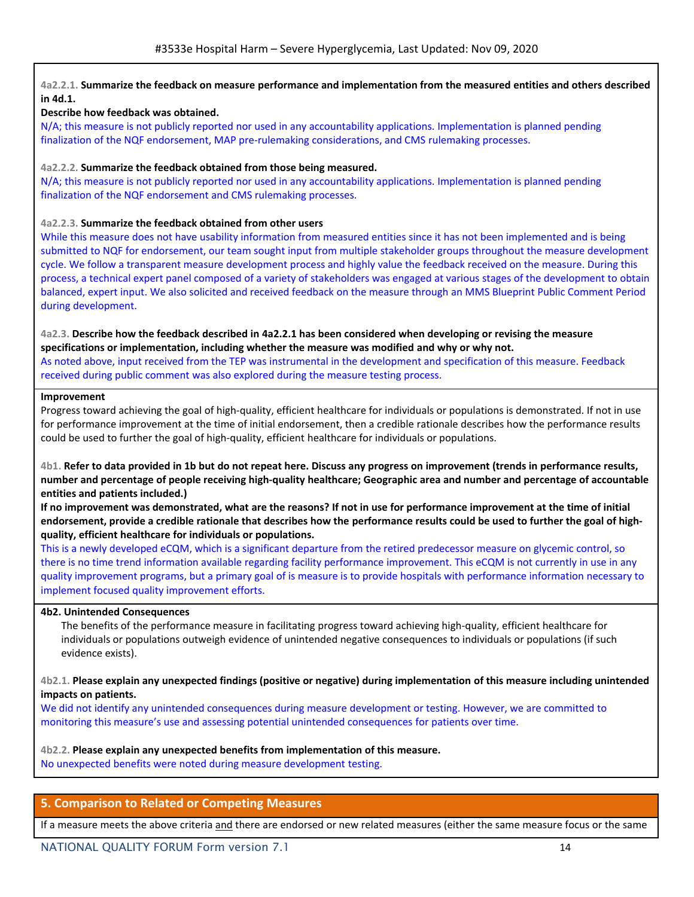## 4a2.2.1. Summarize the feedback on measure performance and implementation from the measured entities and others described **in 4d.1.**

## **Describe how feedback was obtained.**

N/A; this measure is not publicly reported nor used in any accountability applications. Implementation is planned pending finalization of the NQF endorsement, MAP pre-rulemaking considerations, and CMS rulemaking processes.

### **4a2.2.2. Summarize the feedback obtained from those being measured.**

N/A; this measure is not publicly reported nor used in any accountability applications. Implementation is planned pending finalization of the NQF endorsement and CMS rulemaking processes.

## **4a2.2.3. Summarize the feedback obtained from other users**

While this measure does not have usability information from measured entities since it has not been implemented and is being submitted to NQF for endorsement, our team sought input from multiple stakeholder groups throughout the measure development cycle. We follow a transparent measure development process and highly value the feedback received on the measure. During this process, a technical expert panel composed of a variety of stakeholders was engaged at various stages of the development to obtain balanced, expert input. We also solicited and received feedback on the measure through an MMS Blueprint Public Comment Period during development.

## 4a2.3. Describe how the feedback described in 4a2.2.1 has been considered when developing or revising the measure **specifications or implementation, including whether the measure was modified and why or why not.**

As noted above, input received from the TEP was instrumental in the development and specification of this measure. Feedback received during public comment was also explored during the measure testing process.

### **Improvement**

Progress toward achieving the goal of high-quality, efficient healthcare for individuals or populations is demonstrated. If not in use for performance improvement at the time of initial endorsement, then a credible rationale describes how the performance results could be used to further the goal of high-quality, efficient healthcare for individuals or populations.

4b1. Refer to data provided in 1b but do not repeat here. Discuss any progress on improvement (trends in performance results, number and percentage of people receiving high-quality healthcare; Geographic area and number and percentage of accountable **entities and patients included.)**

If no improvement was demonstrated, what are the reasons? If not in use for performance improvement at the time of initial endorsement, provide a credible rationale that describes how the performance results could be used to further the goal of high**quality, efficient healthcare for individuals or populations.**

This is a newly developed eCQM, which is a significant departure from the retired predecessor measure on glycemic control, so there is no time trend information available regarding facility performance improvement. This eCQM is not currently in use in any quality improvement programs, but a primary goal of is measure is to provide hospitals with performance information necessary to implement focused quality improvement efforts.

### **4b2. Unintended Consequences**

The benefits of the performance measure in facilitating progress toward achieving high-quality, efficient healthcare for individuals or populations outweigh evidence of unintended negative consequences to individuals or populations (if such evidence exists).

4b2.1. Please explain any unexpected findings (positive or negative) during implementation of this measure including unintended **impacts on patients.**

We did not identify any unintended consequences during measure development or testing. However, we are committed to monitoring this measure's use and assessing potential unintended consequences for patients over time.

### **4b2.2. Please explain any unexpected benefits from implementation of this measure.**

No unexpected benefits were noted during measure development testing.

# **5. Comparison to Related or Competing Measures**

If a measure meets the above criteria and there are endorsed or new related measures (either the same measure focus or the same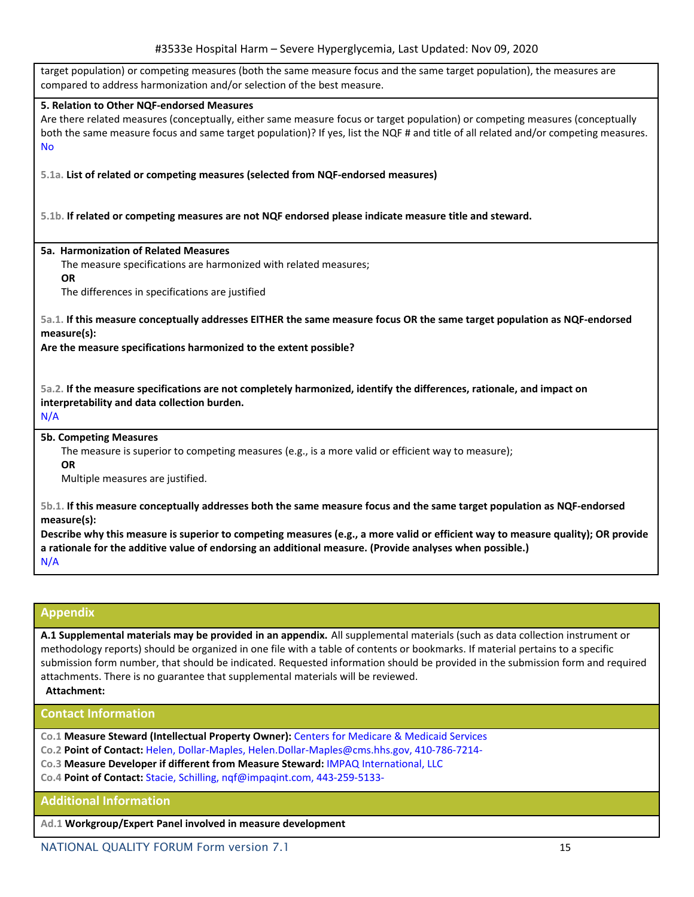| $1133332$ Troppital Harm – Scycle Hyperglyceniia, East Opaatea. Nov 03, Zu                                                                                                                                                                                                                                                                                                                       |
|--------------------------------------------------------------------------------------------------------------------------------------------------------------------------------------------------------------------------------------------------------------------------------------------------------------------------------------------------------------------------------------------------|
| target population) or competing measures (both the same measure focus and the same target population), the measures are<br>compared to address harmonization and/or selection of the best measure.                                                                                                                                                                                               |
| 5. Relation to Other NQF-endorsed Measures<br>Are there related measures (conceptually, either same measure focus or target population) or competing measures (conceptually<br>both the same measure focus and same target population)? If yes, list the NQF # and title of all related and/or competing measures.<br><b>No</b>                                                                  |
| 5.1a. List of related or competing measures (selected from NQF-endorsed measures)                                                                                                                                                                                                                                                                                                                |
| 5.1b. If related or competing measures are not NQF endorsed please indicate measure title and steward.                                                                                                                                                                                                                                                                                           |
| 5a. Harmonization of Related Measures<br>The measure specifications are harmonized with related measures;<br><b>OR</b><br>The differences in specifications are justified                                                                                                                                                                                                                        |
| 5a.1. If this measure conceptually addresses EITHER the same measure focus OR the same target population as NQF-endorsed<br>measure(s):<br>Are the measure specifications harmonized to the extent possible?                                                                                                                                                                                     |
| 5a.2. If the measure specifications are not completely harmonized, identify the differences, rationale, and impact on<br>interpretability and data collection burden.<br>N/A                                                                                                                                                                                                                     |
| <b>5b. Competing Measures</b><br>The measure is superior to competing measures (e.g., is a more valid or efficient way to measure);<br><b>OR</b><br>Multiple measures are justified.                                                                                                                                                                                                             |
| 5b.1. If this measure conceptually addresses both the same measure focus and the same target population as NQF-endorsed<br>measure(s):<br>Describe why this measure is superior to competing measures (e.g., a more valid or efficient way to measure quality); OR provide<br>a rationale for the additive value of endorsing an additional measure. (Provide analyses when possible.)<br>N/A    |
|                                                                                                                                                                                                                                                                                                                                                                                                  |
| <b>Appendix</b>                                                                                                                                                                                                                                                                                                                                                                                  |
| A.1 Supplemental materials may be provided in an appendix. All supplemental materials (such as data collection instrument or<br>methodology reports) should be organized in one file with a table of contents or bookmarks. If material pertains to a specific<br>submission form number, that should be indicated. Requested information should be provided in the submission form and required |

**Contact Information**

**Attachment:**

- **Co.1 Measure Steward (Intellectual Property Owner):** Centers for Medicare & Medicaid Services
- **Co.2 Point of Contact:** Helen, Dollar-Maples, Helen.Dollar-Maples@cms.hhs.gov, 410-786-7214-
- **Co.3 Measure Developer if different from Measure Steward:** IMPAQ International, LLC

attachments. There is no guarantee that supplemental materials will be reviewed.

**Co.4 Point of Contact:** Stacie, Schilling, nqf@impaqint.com, 443-259-5133-

# **Additional Information**

**Ad.1 Workgroup/Expert Panel involved in measure development**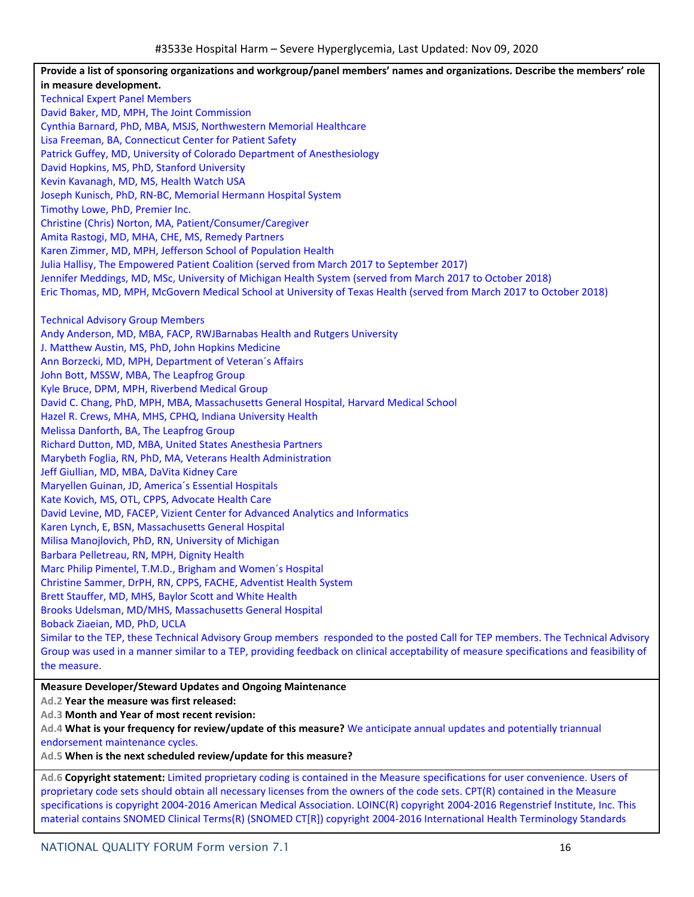Provide a list of sponsoring organizations and workgroup/panel members' names and organizations. Describe the members' role **in measure development.** Technical Expert Panel Members David Baker, MD, MPH, The Joint Commission Cynthia Barnard, PhD, MBA, MSJS, Northwestern Memorial Healthcare Lisa Freeman, BA, Connecticut Center for Patient Safety Patrick Guffey, MD, University of Colorado Department of Anesthesiology David Hopkins, MS, PhD, Stanford University Kevin Kavanagh, MD, MS, Health Watch USA Joseph Kunisch, PhD, RN-BC, Memorial Hermann Hospital System Timothy Lowe, PhD, Premier Inc. Christine (Chris) Norton, MA, Patient/Consumer/Caregiver Amita Rastogi, MD, MHA, CHE, MS, Remedy Partners Karen Zimmer, MD, MPH, Jefferson School of Population Health Julia Hallisy, The Empowered Patient Coalition (served from March 2017 to September 2017) Jennifer Meddings, MD, MSc, University of Michigan Health System (served from March 2017 to October 2018) Eric Thomas, MD, MPH, McGovern Medical School at University of Texas Health (served from March 2017 to October 2018) Technical Advisory Group Members Andy Anderson, MD, MBA, FACP, RWJBarnabas Health and Rutgers University J. Matthew Austin, MS, PhD, John Hopkins Medicine Ann Borzecki, MD, MPH, Department of Veteran´s Affairs John Bott, MSSW, MBA, The Leapfrog Group Kyle Bruce, DPM, MPH, Riverbend Medical Group David C. Chang, PhD, MPH, MBA, Massachusetts General Hospital, Harvard Medical School Hazel R. Crews, MHA, MHS, CPHQ, Indiana University Health Melissa Danforth, BA, The Leapfrog Group Richard Dutton, MD, MBA, United States Anesthesia Partners Marybeth Foglia, RN, PhD, MA, Veterans Health Administration Jeff Giullian, MD, MBA, DaVita Kidney Care Maryellen Guinan, JD, America´s Essential Hospitals Kate Kovich, MS, OTL, CPPS, Advocate Health Care David Levine, MD, FACEP, Vizient Center for Advanced Analytics and Informatics Karen Lynch, E, BSN, Massachusetts General Hospital Milisa Manojlovich, PhD, RN, University of Michigan Barbara Pelletreau, RN, MPH, Dignity Health Marc Philip Pimentel, T.M.D., Brigham and Women´s Hospital Christine Sammer, DrPH, RN, CPPS, FACHE, Adventist Health System Brett Stauffer, MD, MHS, Baylor Scott and White Health Brooks Udelsman, MD/MHS, Massachusetts General Hospital Boback Ziaeian, MD, PhD, UCLA Similar to the TEP, these Technical Advisory Group members responded to the posted Call for TEP members. The Technical Advisory Group was used in a manner similar to a TEP, providing feedback on clinical acceptability of measure specifications and feasibility of the measure. **Measure Developer/Steward Updates and Ongoing Maintenance Ad.2 Year the measure was first released: Ad.3 Month and Year of most recent revision: Ad.4 What is your frequency for review/update of this measure?** We anticipate annual updates and potentially triannual endorsement maintenance cycles.

**Ad.5 When is the next scheduled review/update for this measure?**

**Ad.6 Copyright statement:** Limited proprietary coding is contained in the Measure specifications for user convenience. Users of proprietary code sets should obtain all necessary licenses from the owners of the code sets. CPT(R) contained in the Measure specifications is copyright 2004-2016 American Medical Association. LOINC(R) copyright 2004-2016 Regenstrief Institute, Inc. This material contains SNOMED Clinical Terms(R) (SNOMED CT[R]) copyright 2004-2016 International Health Terminology Standards